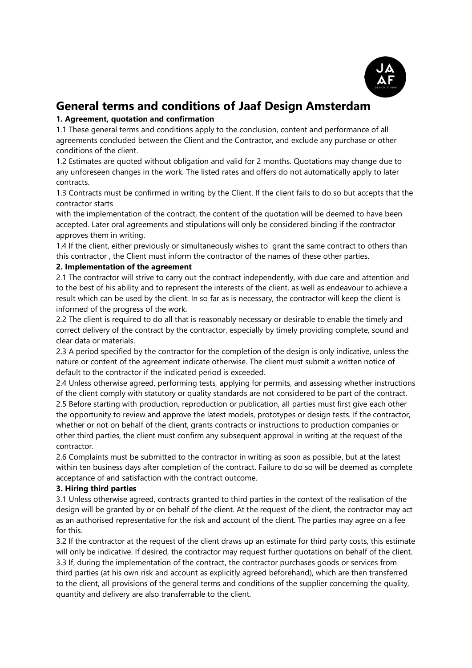

# **General terms and conditions of Jaaf Design Amsterdam**

# **1. Agreement, quotation and confirmation**

1.1 These general terms and conditions apply to the conclusion, content and performance of all agreements concluded between the Client and the Contractor, and exclude any purchase or other conditions of the client.

1.2 Estimates are quoted without obligation and valid for 2 months. Quotations may change due to any unforeseen changes in the work. The listed rates and offers do not automatically apply to later contracts.

1.3 Contracts must be confirmed in writing by the Client. If the client fails to do so but accepts that the contractor starts

with the implementation of the contract, the content of the quotation will be deemed to have been accepted. Later oral agreements and stipulations will only be considered binding if the contractor approves them in writing.

1.4 If the client, either previously or simultaneously wishes to grant the same contract to others than this contractor , the Client must inform the contractor of the names of these other parties.

# **2. Implementation of the agreement**

2.1 The contractor will strive to carry out the contract independently, with due care and attention and to the best of his ability and to represent the interests of the client, as well as endeavour to achieve a result which can be used by the client. In so far as is necessary, the contractor will keep the client is informed of the progress of the work.

2.2 The client is required to do all that is reasonably necessary or desirable to enable the timely and correct delivery of the contract by the contractor, especially by timely providing complete, sound and clear data or materials.

2.3 A period specified by the contractor for the completion of the design is only indicative, unless the nature or content of the agreement indicate otherwise. The client must submit a written notice of default to the contractor if the indicated period is exceeded.

2.4 Unless otherwise agreed, performing tests, applying for permits, and assessing whether instructions of the client comply with statutory or quality standards are not considered to be part of the contract. 2.5 Before starting with production, reproduction or publication, all parties must first give each other the opportunity to review and approve the latest models, prototypes or design tests. If the contractor, whether or not on behalf of the client, grants contracts or instructions to production companies or other third parties, the client must confirm any subsequent approval in writing at the request of the contractor.

2.6 Complaints must be submitted to the contractor in writing as soon as possible, but at the latest within ten business days after completion of the contract. Failure to do so will be deemed as complete acceptance of and satisfaction with the contract outcome.

# **3. Hiring third parties**

3.1 Unless otherwise agreed, contracts granted to third parties in the context of the realisation of the design will be granted by or on behalf of the client. At the request of the client, the contractor may act as an authorised representative for the risk and account of the client. The parties may agree on a fee for this.

3.2 If the contractor at the request of the client draws up an estimate for third party costs, this estimate will only be indicative. If desired, the contractor may request further quotations on behalf of the client. 3.3 If, during the implementation of the contract, the contractor purchases goods or services from third parties (at his own risk and account as explicitly agreed beforehand), which are then transferred to the client, all provisions of the general terms and conditions of the supplier concerning the quality, quantity and delivery are also transferrable to the client.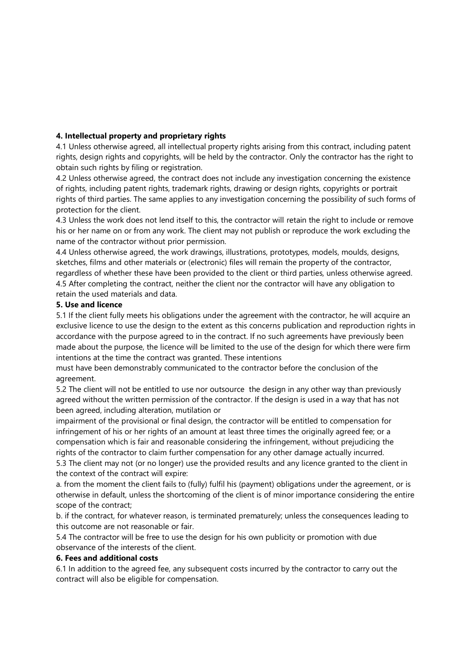## **4. Intellectual property and proprietary rights**

4.1 Unless otherwise agreed, all intellectual property rights arising from this contract, including patent rights, design rights and copyrights, will be held by the contractor. Only the contractor has the right to obtain such rights by filing or registration.

4.2 Unless otherwise agreed, the contract does not include any investigation concerning the existence of rights, including patent rights, trademark rights, drawing or design rights, copyrights or portrait rights of third parties. The same applies to any investigation concerning the possibility of such forms of protection for the client.

4.3 Unless the work does not lend itself to this, the contractor will retain the right to include or remove his or her name on or from any work. The client may not publish or reproduce the work excluding the name of the contractor without prior permission.

4.4 Unless otherwise agreed, the work drawings, illustrations, prototypes, models, moulds, designs, sketches, films and other materials or (electronic) files will remain the property of the contractor, regardless of whether these have been provided to the client or third parties, unless otherwise agreed. 4.5 After completing the contract, neither the client nor the contractor will have any obligation to retain the used materials and data.

## **5. Use and licence**

5.1 If the client fully meets his obligations under the agreement with the contractor, he will acquire an exclusive licence to use the design to the extent as this concerns publication and reproduction rights in accordance with the purpose agreed to in the contract. If no such agreements have previously been made about the purpose, the licence will be limited to the use of the design for which there were firm intentions at the time the contract was granted. These intentions

must have been demonstrably communicated to the contractor before the conclusion of the agreement.

5.2 The client will not be entitled to use nor outsource the design in any other way than previously agreed without the written permission of the contractor. If the design is used in a way that has not been agreed, including alteration, mutilation or

impairment of the provisional or final design, the contractor will be entitled to compensation for infringement of his or her rights of an amount at least three times the originally agreed fee; or a compensation which is fair and reasonable considering the infringement, without prejudicing the rights of the contractor to claim further compensation for any other damage actually incurred.

5.3 The client may not (or no longer) use the provided results and any licence granted to the client in the context of the contract will expire:

a. from the moment the client fails to (fully) fulfil his (payment) obligations under the agreement, or is otherwise in default, unless the shortcoming of the client is of minor importance considering the entire scope of the contract;

b. if the contract, for whatever reason, is terminated prematurely; unless the consequences leading to this outcome are not reasonable or fair.

5.4 The contractor will be free to use the design for his own publicity or promotion with due observance of the interests of the client.

#### **6. Fees and additional costs**

6.1 In addition to the agreed fee, any subsequent costs incurred by the contractor to carry out the contract will also be eligible for compensation.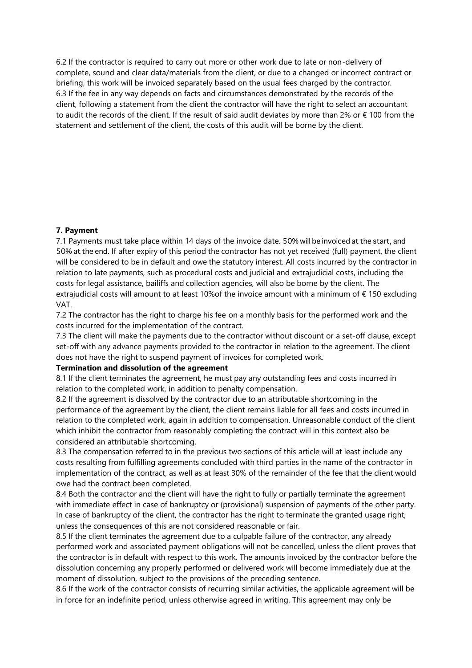6.2 If the contractor is required to carry out more or other work due to late or non-delivery of complete, sound and clear data/materials from the client, or due to a changed or incorrect contract or briefing, this work will be invoiced separately based on the usual fees charged by the contractor. 6.3 If the fee in any way depends on facts and circumstances demonstrated by the records of the client, following a statement from the client the contractor will have the right to select an accountant to audit the records of the client. If the result of said audit deviates by more than 2% or  $\epsilon$  100 from the statement and settlement of the client, the costs of this audit will be borne by the client.

## **7. Payment**

7.1 Payments must take place within 14 days of the invoice date. 50% will be invoiced at the start, and 50% at the end. If after expiry of this period the contractor has not yet received (full) payment, the client will be considered to be in default and owe the statutory interest. All costs incurred by the contractor in relation to late payments, such as procedural costs and judicial and extrajudicial costs, including the costs for legal assistance, bailiffs and collection agencies, will also be borne by the client. The extrajudicial costs will amount to at least 10%of the invoice amount with a minimum of € 150 excluding VAT.

7.2 The contractor has the right to charge his fee on a monthly basis for the performed work and the costs incurred for the implementation of the contract.

7.3 The client will make the payments due to the contractor without discount or a set-off clause, except set-off with any advance payments provided to the contractor in relation to the agreement. The client does not have the right to suspend payment of invoices for completed work.

## **Termination and dissolution of the agreement**

8.1 If the client terminates the agreement, he must pay any outstanding fees and costs incurred in relation to the completed work, in addition to penalty compensation.

8.2 If the agreement is dissolved by the contractor due to an attributable shortcoming in the performance of the agreement by the client, the client remains liable for all fees and costs incurred in relation to the completed work, again in addition to compensation. Unreasonable conduct of the client which inhibit the contractor from reasonably completing the contract will in this context also be considered an attributable shortcoming.

8.3 The compensation referred to in the previous two sections of this article will at least include any costs resulting from fulfilling agreements concluded with third parties in the name of the contractor in implementation of the contract, as well as at least 30% of the remainder of the fee that the client would owe had the contract been completed.

8.4 Both the contractor and the client will have the right to fully or partially terminate the agreement with immediate effect in case of bankruptcy or (provisional) suspension of payments of the other party. In case of bankruptcy of the client, the contractor has the right to terminate the granted usage right, unless the consequences of this are not considered reasonable or fair.

8.5 If the client terminates the agreement due to a culpable failure of the contractor, any already performed work and associated payment obligations will not be cancelled, unless the client proves that the contractor is in default with respect to this work. The amounts invoiced by the contractor before the dissolution concerning any properly performed or delivered work will become immediately due at the moment of dissolution, subject to the provisions of the preceding sentence.

8.6 If the work of the contractor consists of recurring similar activities, the applicable agreement will be in force for an indefinite period, unless otherwise agreed in writing. This agreement may only be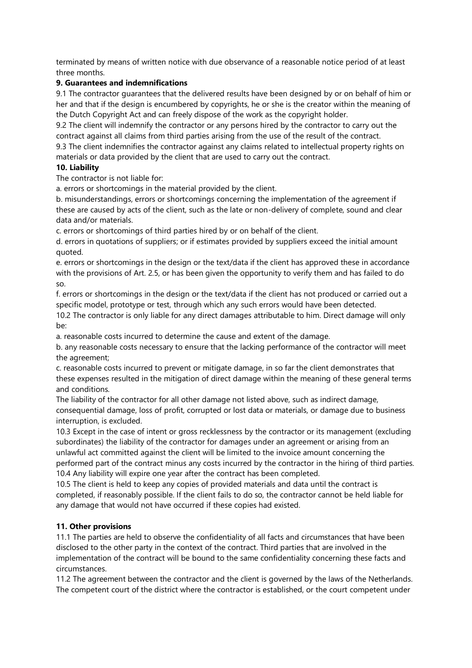terminated by means of written notice with due observance of a reasonable notice period of at least three months.

# **9. Guarantees and indemnifications**

9.1 The contractor guarantees that the delivered results have been designed by or on behalf of him or her and that if the design is encumbered by copyrights, he or she is the creator within the meaning of the Dutch Copyright Act and can freely dispose of the work as the copyright holder.

9.2 The client will indemnify the contractor or any persons hired by the contractor to carry out the contract against all claims from third parties arising from the use of the result of the contract.

9.3 The client indemnifies the contractor against any claims related to intellectual property rights on materials or data provided by the client that are used to carry out the contract.

# **10. Liability**

The contractor is not liable for:

a. errors or shortcomings in the material provided by the client.

b. misunderstandings, errors or shortcomings concerning the implementation of the agreement if these are caused by acts of the client, such as the late or non-delivery of complete, sound and clear data and/or materials.

c. errors or shortcomings of third parties hired by or on behalf of the client.

d. errors in quotations of suppliers; or if estimates provided by suppliers exceed the initial amount quoted.

e. errors or shortcomings in the design or the text/data if the client has approved these in accordance with the provisions of Art. 2.5, or has been given the opportunity to verify them and has failed to do so.

f. errors or shortcomings in the design or the text/data if the client has not produced or carried out a specific model, prototype or test, through which any such errors would have been detected.

10.2 The contractor is only liable for any direct damages attributable to him. Direct damage will only be:

a. reasonable costs incurred to determine the cause and extent of the damage.

b. any reasonable costs necessary to ensure that the lacking performance of the contractor will meet the agreement;

c. reasonable costs incurred to prevent or mitigate damage, in so far the client demonstrates that these expenses resulted in the mitigation of direct damage within the meaning of these general terms and conditions.

The liability of the contractor for all other damage not listed above, such as indirect damage, consequential damage, loss of profit, corrupted or lost data or materials, or damage due to business interruption, is excluded.

10.3 Except in the case of intent or gross recklessness by the contractor or its management (excluding subordinates) the liability of the contractor for damages under an agreement or arising from an unlawful act committed against the client will be limited to the invoice amount concerning the performed part of the contract minus any costs incurred by the contractor in the hiring of third parties. 10.4 Any liability will expire one year after the contract has been completed.

10.5 The client is held to keep any copies of provided materials and data until the contract is completed, if reasonably possible. If the client fails to do so, the contractor cannot be held liable for any damage that would not have occurred if these copies had existed.

# **11. Other provisions**

11.1 The parties are held to observe the confidentiality of all facts and circumstances that have been disclosed to the other party in the context of the contract. Third parties that are involved in the implementation of the contract will be bound to the same confidentiality concerning these facts and circumstances.

11.2 The agreement between the contractor and the client is governed by the laws of the Netherlands. The competent court of the district where the contractor is established, or the court competent under